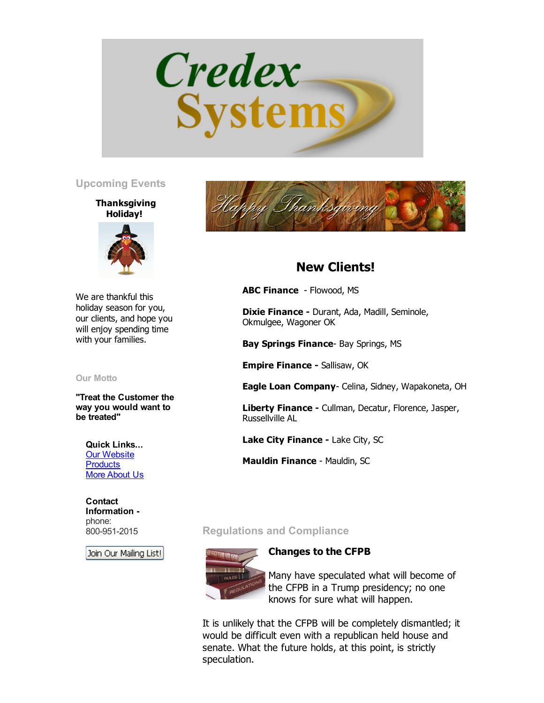

### Upcoming Events

### **Thanksgiving** Holiday!



We are thankful this holiday season for you, our clients, and hope you will enjoy spending time with your families.

Our Motto

"Treat the Customer the way you would want to be treated"

Quick Links... **Our [Website](http://www.credexsystems.com/) [Products](http://www.credexsystems.com/products.php)** More [About](http://www.credexsystems.com/about-us.php) Us

**Contact** Information phone: 800-951-2015

Join Our Mailing List!



# New Clients!

ABC Finance - Flowood, MS

Dixie Finance - Durant, Ada, Madill, Seminole, Okmulgee, Wagoner OK

Bay Springs Finance- Bay Springs, MS

Empire Finance - Sallisaw, OK

Eagle Loan Company- Celina, Sidney, Wapakoneta, OH

Liberty Finance - Cullman, Decatur, Florence, Jasper, Russellville AL

Lake City Finance - Lake City, SC

Mauldin Finance - Mauldin, SC

## Regulations and Compliance



Changes to the CFPB

Many have speculated what will become of the CFPB in a Trump presidency; no one knows for sure what will happen.

It is unlikely that the CFPB will be completely dismantled; it would be difficult even with a republican held house and senate. What the future holds, at this point, is strictly speculation.